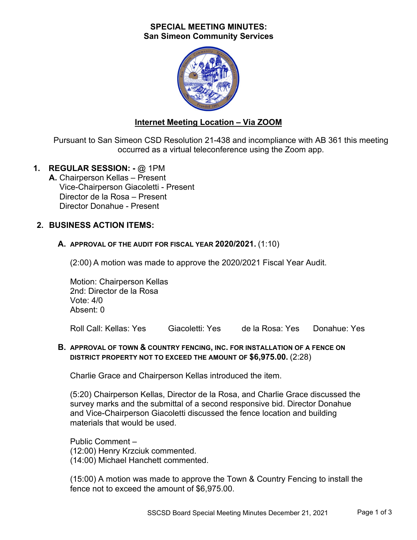## **SPECIAL MEETING MINUTES: San Simeon Community Services**



# **Internet Meeting Location – Via ZOOM**

Pursuant to San Simeon CSD Resolution 21-438 and incompliance with AB 361 this meeting occurred as a virtual teleconference using the Zoom app.

**1. REGULAR SESSION: -** @ 1PM

**A.** Chairperson Kellas – Present Vice-Chairperson Giacoletti - Present Director de la Rosa – Present Director Donahue - Present

## **2. BUSINESS ACTION ITEMS:**

## **A. APPROVAL OF THE AUDIT FOR FISCAL YEAR 2020/2021.** (1:10)

(2:00) A motion was made to approve the 2020/2021 Fiscal Year Audit.

Motion: Chairperson Kellas 2nd: Director de la Rosa Vote: 4/0 Absent: 0

Roll Call: Kellas: Yes Giacoletti: Yes de la Rosa: Yes Donahue: Yes

### **B. APPROVAL OF TOWN & COUNTRY FENCING, INC. FOR INSTALLATION OF A FENCE ON DISTRICT PROPERTY NOT TO EXCEED THE AMOUNT OF \$6,975.00.** (2:28)

Charlie Grace and Chairperson Kellas introduced the item.

(5:20) Chairperson Kellas, Director de la Rosa, and Charlie Grace discussed the survey marks and the submittal of a second responsive bid. Director Donahue and Vice-Chairperson Giacoletti discussed the fence location and building materials that would be used.

Public Comment – (12:00) Henry Krzciuk commented. (14:00) Michael Hanchett commented.

(15:00) A motion was made to approve the Town & Country Fencing to install the fence not to exceed the amount of \$6,975.00.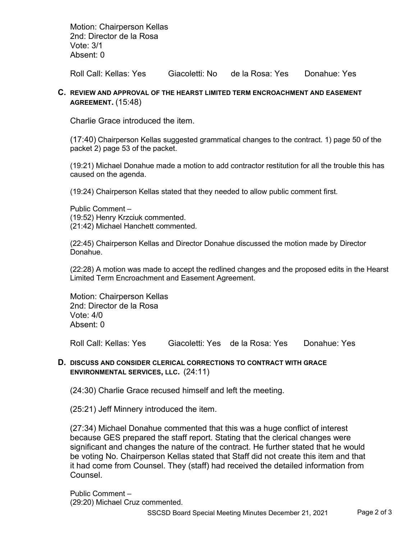Motion: Chairperson Kellas 2nd: Director de la Rosa Vote: 3/1 Absent: 0

Roll Call: Kellas: Yes Giacoletti: No de la Rosa: Yes Donahue: Yes

#### **C. REVIEW AND APPROVAL OF THE HEARST LIMITED TERM ENCROACHMENT AND EASEMENT AGREEMENT.** (15:48)

Charlie Grace introduced the item.

(17:40) Chairperson Kellas suggested grammatical changes to the contract. 1) page 50 of the packet 2) page 53 of the packet.

(19:21) Michael Donahue made a motion to add contractor restitution for all the trouble this has caused on the agenda.

(19:24) Chairperson Kellas stated that they needed to allow public comment first.

Public Comment – (19:52) Henry Krzciuk commented. (21:42) Michael Hanchett commented.

(22:45) Chairperson Kellas and Director Donahue discussed the motion made by Director Donahue.

(22:28) A motion was made to accept the redlined changes and the proposed edits in the Hearst Limited Term Encroachment and Easement Agreement.

Motion: Chairperson Kellas 2nd: Director de la Rosa Vote: 4/0 Absent: 0

Roll Call: Kellas: Yes Giacoletti: Yes de la Rosa: Yes Donahue: Yes

#### **D. DISCUSS AND CONSIDER CLERICAL CORRECTIONS TO CONTRACT WITH GRACE ENVIRONMENTAL SERVICES, LLC.** (24:11)

(24:30) Charlie Grace recused himself and left the meeting.

(25:21) Jeff Minnery introduced the item.

(27:34) Michael Donahue commented that this was a huge conflict of interest because GES prepared the staff report. Stating that the clerical changes were significant and changes the nature of the contract. He further stated that he would be voting No. Chairperson Kellas stated that Staff did not create this item and that it had come from Counsel. They (staff) had received the detailed information from Counsel.

Public Comment – (29:20) Michael Cruz commented.